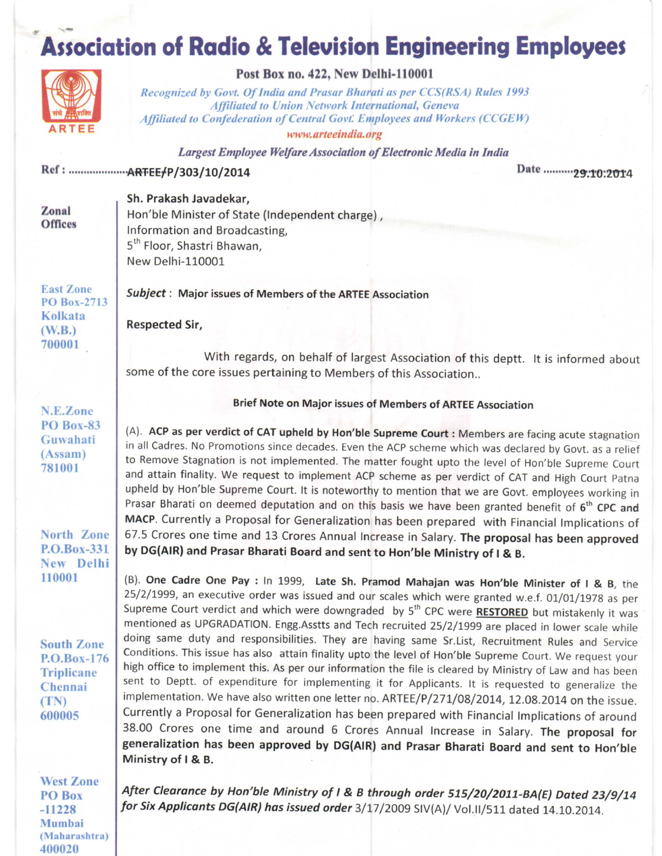# **Association of Radio & Television Engineering Employees**



### Post Box no. 422, New Delhi-110001

Recognized by Govt. Of India and Prasar Bharati as per CCS(RSA) Rules 1993 **Affiliated to Union Network International, Geneva** Affiliated to Confederation of Central Govt. Employees and Workers (CCGEW)

www.arteeindia.org

Largest Employee Welfare Association of Electronic Media in India

#### 

Date ...........29:10:2014

| Zonal<br><b>Offices</b> | Sh. Prakash Javadekar,                          |
|-------------------------|-------------------------------------------------|
|                         | Hon'ble Minister of State (Independent charge), |
|                         | Information and Broadcasting,                   |
|                         | 5 <sup>th</sup> Floor, Shastri Bhawan,          |
|                         | New Delhi-110001                                |
|                         |                                                 |

Subject: Major issues of Members of the ARTEE Association

**Respected Sir,** 

With regards, on behalf of largest Association of this deptt. It is informed about some of the core issues pertaining to Members of this Association..

N.E.Zone **PO Box-83** Guwahati  $(Assam)$ 781001

**East Zone** 

 $(W.B.)$ 700001

**PO Box-2713** Kolkata

North Zone P.O.Box-331 New Delhi 110001

**South Zone**  $P.O.Box-176$ **Triplicane** Chennai  $(TN)$ 600005

**West Zone** PO Box  $-11228$ Mumbai (Maharashtra) 400020

Brief Note on Major issues of Members of ARTEE Association

(A). ACP as per verdict of CAT upheld by Hon'ble Supreme Court : Members are facing acute stagnation in all Cadres. No Promotions since decades. Even the ACP scheme which was declared by Govt. as a relief to Remove Stagnation is not implemented. The matter fought upto the level of Hon'ble Supreme Court and attain finality. We request to implement ACP scheme as per verdict of CAT and High Court Patna upheld by Hon'ble Supreme Court. It is noteworthy to mention that we are Govt. employees working in Prasar Bharati on deemed deputation and on this basis we have been granted benefit of 6<sup>th</sup> CPC and MACP. Currently a Proposal for Generalization has been prepared with Financial Implications of 67.5 Crores one time and 13 Crores Annual Increase in Salary. The proposal has been approved by DG(AIR) and Prasar Bharati Board and sent to Hon'ble Ministry of I & B.

(B). One Cadre One Pay : In 1999, Late Sh. Pramod Mahajan was Hon'ble Minister of I & B, the 25/2/1999, an executive order was issued and our scales which were granted w.e.f. 01/01/1978 as per Supreme Court verdict and which were downgraded by 5<sup>th</sup> CPC were **RESTORED** but mistakenly it was mentioned as UPGRADATION. Engg.Asstts and Tech recruited 25/2/1999 are placed in lower scale while doing same duty and responsibilities. They are having same Sr.List, Recruitment Rules and Service Conditions. This issue has also attain finality upto the level of Hon'ble Supreme Court. We request your high office to implement this. As per our information the file is cleared by Ministry of Law and has been sent to Deptt. of expenditure for implementing it for Applicants. It is requested to generalize the implementation. We have also written one letter no. ARTEE/P/271/08/2014, 12.08.2014 on the issue. Currently a Proposal for Generalization has been prepared with Financial Implications of around 38.00 Crores one time and around 6 Crores Annual Increase in Salary. The proposal for generalization has been approved by DG(AIR) and Prasar Bharati Board and sent to Hon'ble Ministry of I & B.

After Clearance by Hon'ble Ministry of I & B through order 515/20/2011-BA(E) Dated 23/9/14 for Six Applicants DG(AIR) has issued order 3/17/2009 SIV(A)/ Vol.II/511 dated 14.10.2014.